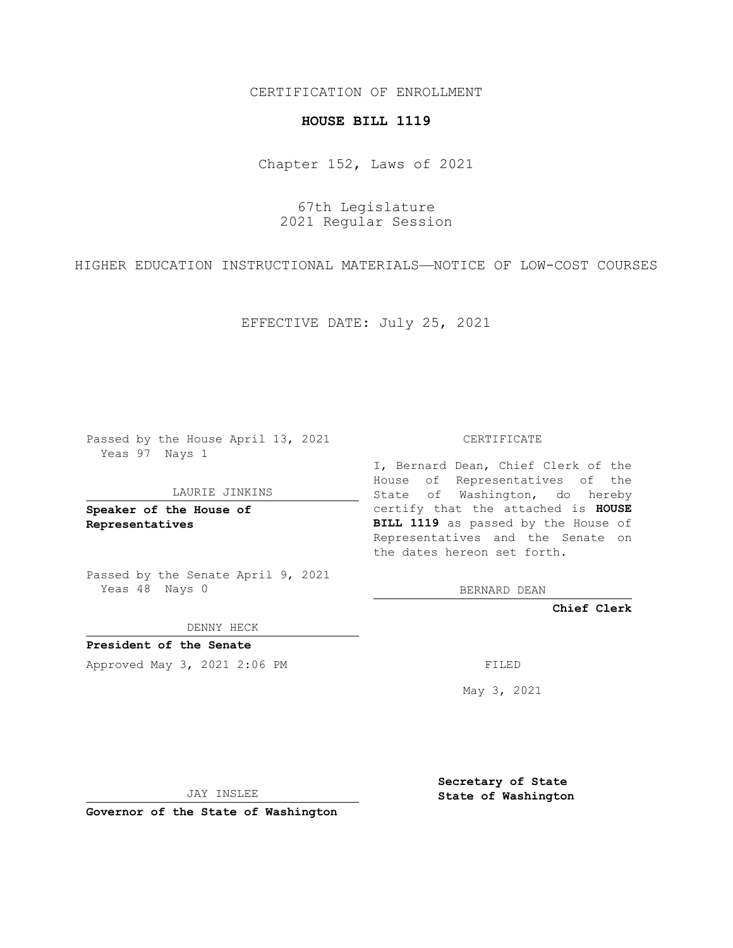# CERTIFICATION OF ENROLLMENT

### **HOUSE BILL 1119**

Chapter 152, Laws of 2021

67th Legislature 2021 Regular Session

HIGHER EDUCATION INSTRUCTIONAL MATERIALS—NOTICE OF LOW-COST COURSES

EFFECTIVE DATE: July 25, 2021

Passed by the House April 13, 2021 Yeas 97 Nays 1

#### LAURIE JINKINS

**Speaker of the House of Representatives**

Passed by the Senate April 9, 2021 Yeas 48 Nays 0

DENNY HECK

**President of the Senate** Approved May 3, 2021 2:06 PM FILED

CERTIFICATE

I, Bernard Dean, Chief Clerk of the House of Representatives of the State of Washington, do hereby certify that the attached is **HOUSE BILL 1119** as passed by the House of Representatives and the Senate on the dates hereon set forth.

BERNARD DEAN

**Chief Clerk**

May 3, 2021

JAY INSLEE

**Governor of the State of Washington**

**Secretary of State State of Washington**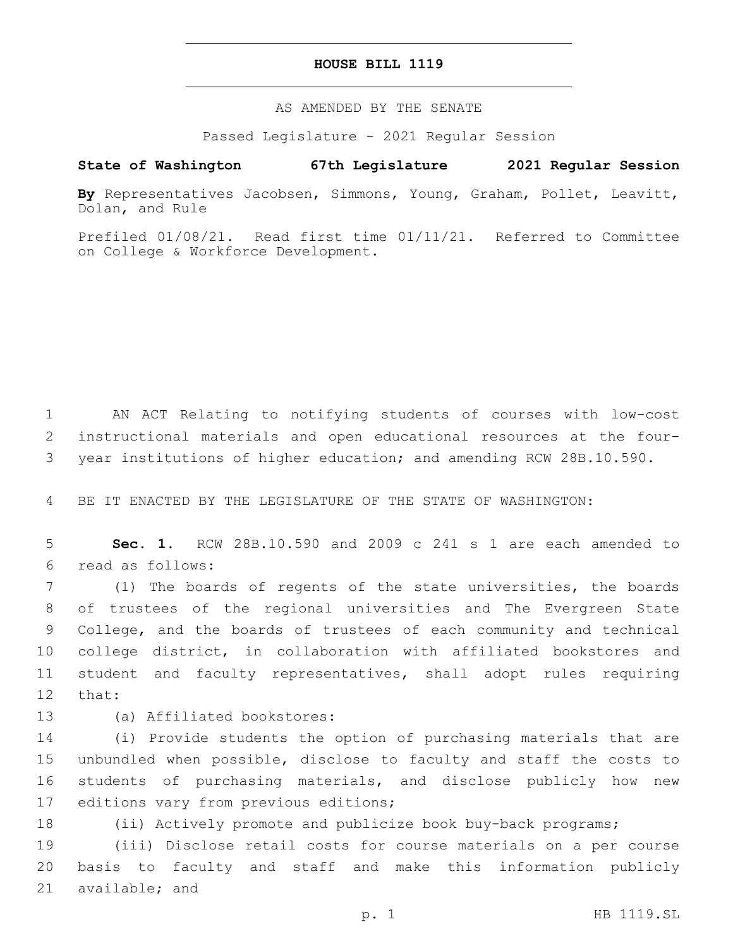# **HOUSE BILL 1119**

AS AMENDED BY THE SENATE

Passed Legislature - 2021 Regular Session

# **State of Washington 67th Legislature 2021 Regular Session**

**By** Representatives Jacobsen, Simmons, Young, Graham, Pollet, Leavitt, Dolan, and Rule

Prefiled 01/08/21. Read first time 01/11/21. Referred to Committee on College & Workforce Development.

1 AN ACT Relating to notifying students of courses with low-cost 2 instructional materials and open educational resources at the four-3 year institutions of higher education; and amending RCW 28B.10.590.

4 BE IT ENACTED BY THE LEGISLATURE OF THE STATE OF WASHINGTON:

5 **Sec. 1.** RCW 28B.10.590 and 2009 c 241 s 1 are each amended to read as follows:6

 (1) The boards of regents of the state universities, the boards of trustees of the regional universities and The Evergreen State College, and the boards of trustees of each community and technical college district, in collaboration with affiliated bookstores and student and faculty representatives, shall adopt rules requiring 12 that:

- 
- 13 (a) Affiliated bookstores:

 (i) Provide students the option of purchasing materials that are unbundled when possible, disclose to faculty and staff the costs to students of purchasing materials, and disclose publicly how new 17 editions vary from previous editions;

18 (ii) Actively promote and publicize book buy-back programs;

19 (iii) Disclose retail costs for course materials on a per course 20 basis to faculty and staff and make this information publicly 21 available; and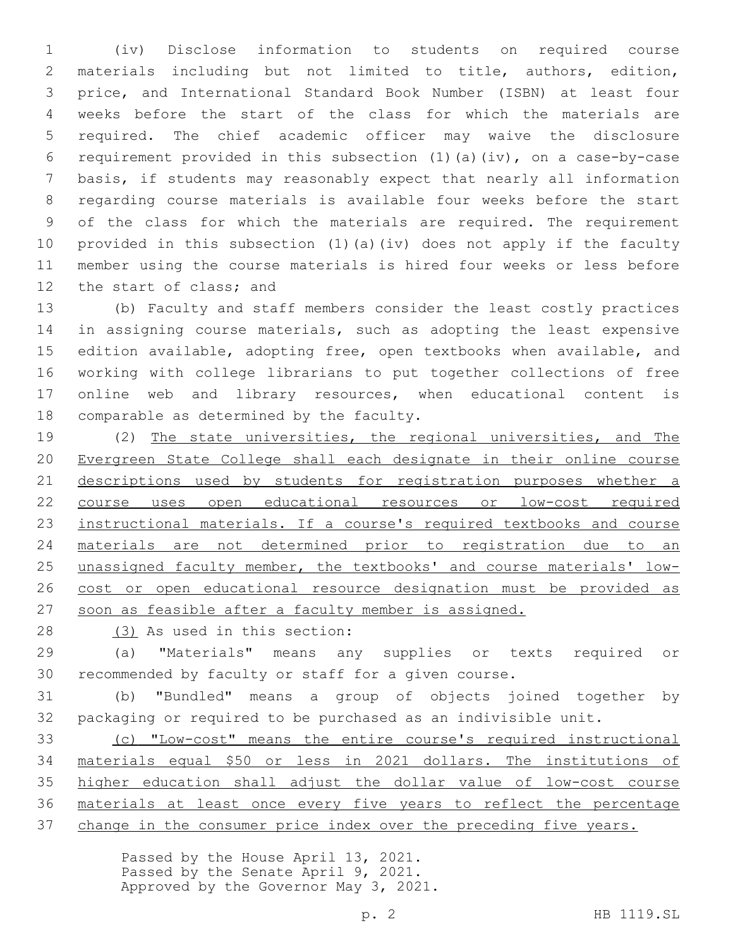(iv) Disclose information to students on required course materials including but not limited to title, authors, edition, price, and International Standard Book Number (ISBN) at least four weeks before the start of the class for which the materials are required. The chief academic officer may waive the disclosure requirement provided in this subsection (1)(a)(iv), on a case-by-case basis, if students may reasonably expect that nearly all information regarding course materials is available four weeks before the start of the class for which the materials are required. The requirement provided in this subsection (1)(a)(iv) does not apply if the faculty member using the course materials is hired four weeks or less before 12 the start of class; and

 (b) Faculty and staff members consider the least costly practices 14 in assigning course materials, such as adopting the least expensive edition available, adopting free, open textbooks when available, and working with college librarians to put together collections of free online web and library resources, when educational content is 18 comparable as determined by the faculty.

 (2) The state universities, the regional universities, and The Evergreen State College shall each designate in their online course 21 descriptions used by students for registration purposes whether a course uses open educational resources or low-cost required instructional materials. If a course's required textbooks and course materials are not determined prior to registration due to an unassigned faculty member, the textbooks' and course materials' low- cost or open educational resource designation must be provided as soon as feasible after a faculty member is assigned.

28 (3) As used in this section:

 (a) "Materials" means any supplies or texts required or recommended by faculty or staff for a given course.

 (b) "Bundled" means a group of objects joined together by packaging or required to be purchased as an indivisible unit.

 (c) "Low-cost" means the entire course's required instructional materials equal \$50 or less in 2021 dollars. The institutions of higher education shall adjust the dollar value of low-cost course materials at least once every five years to reflect the percentage change in the consumer price index over the preceding five years.

> Passed by the House April 13, 2021. Passed by the Senate April 9, 2021. Approved by the Governor May 3, 2021.